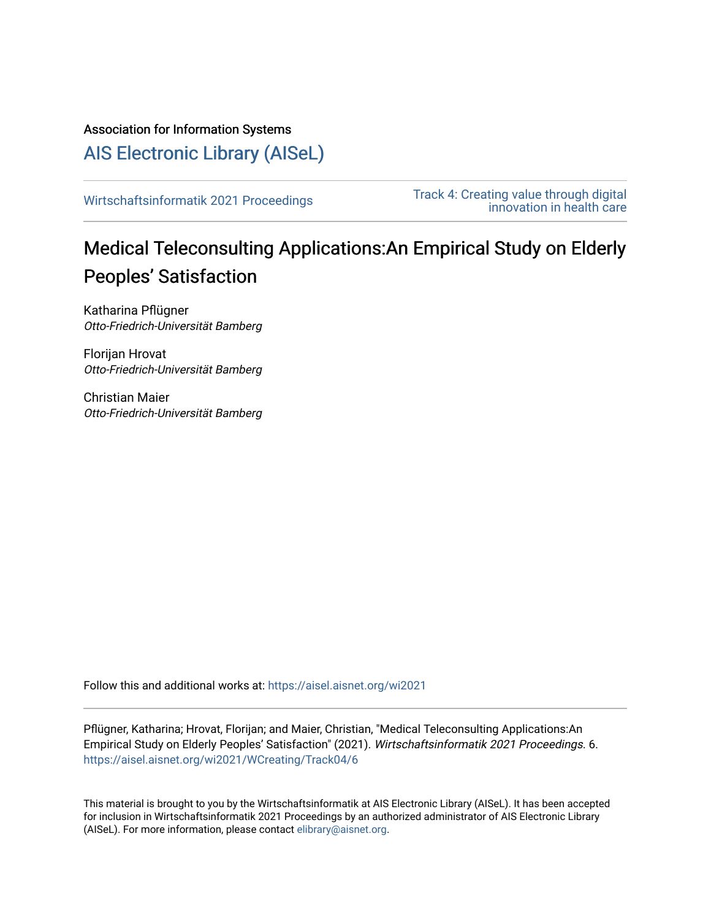Association for Information Systems

[AIS Electronic Library \(AISeL\)](https://aisel.aisnet.org/)

[Wirtschaftsinformatik 2021 Proceedings](https://aisel.aisnet.org/wi2021) Track 4: Creating value through digital [innovation in health care](https://aisel.aisnet.org/wi2021/WCreating) 

# Medical Teleconsulting Applications:An Empirical Study on Elderly Peoples' Satisfaction

Katharina Pflügner Otto-Friedrich-Universität Bamberg

Florijan Hrovat Otto-Friedrich-Universität Bamberg

Christian Maier Otto-Friedrich-Universität Bamberg

Follow this and additional works at: [https://aisel.aisnet.org/wi2021](https://aisel.aisnet.org/wi2021?utm_source=aisel.aisnet.org%2Fwi2021%2FWCreating%2FTrack04%2F6&utm_medium=PDF&utm_campaign=PDFCoverPages) 

Pflügner, Katharina; Hrovat, Florijan; and Maier, Christian, "Medical Teleconsulting Applications:An Empirical Study on Elderly Peoples' Satisfaction" (2021). Wirtschaftsinformatik 2021 Proceedings. 6. [https://aisel.aisnet.org/wi2021/WCreating/Track04/6](https://aisel.aisnet.org/wi2021/WCreating/Track04/6?utm_source=aisel.aisnet.org%2Fwi2021%2FWCreating%2FTrack04%2F6&utm_medium=PDF&utm_campaign=PDFCoverPages) 

This material is brought to you by the Wirtschaftsinformatik at AIS Electronic Library (AISeL). It has been accepted for inclusion in Wirtschaftsinformatik 2021 Proceedings by an authorized administrator of AIS Electronic Library (AISeL). For more information, please contact [elibrary@aisnet.org](mailto:elibrary@aisnet.org%3E).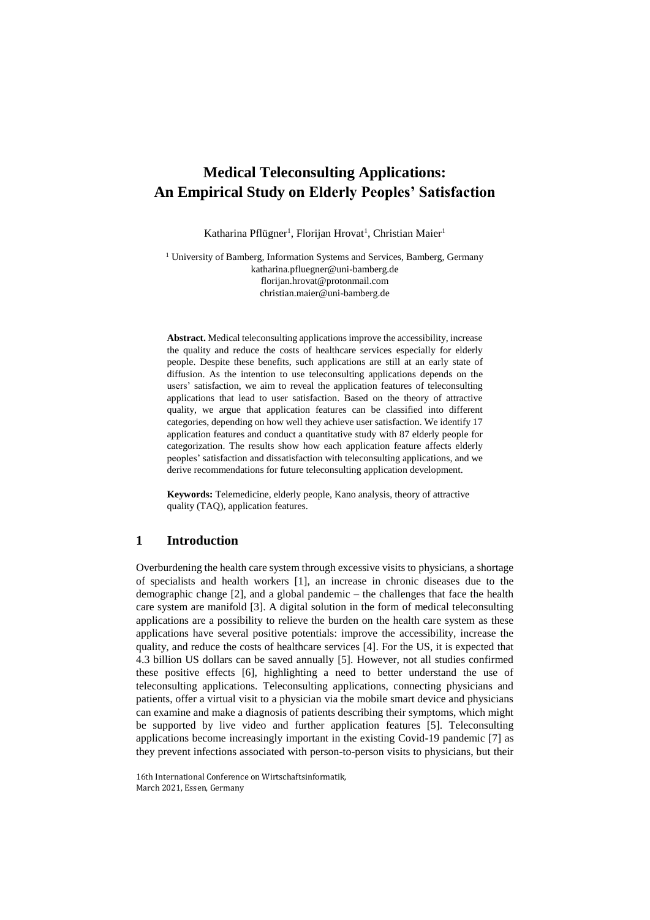# **Medical Teleconsulting Applications: An Empirical Study on Elderly Peoples' Satisfaction**

Katharina Pflügner<sup>1</sup>, Florijan Hrovat<sup>1</sup>, Christian Maier<sup>1</sup>

<sup>1</sup> University of Bamberg, Information Systems and Services, Bamberg, Germany [katharina.pfluegner@uni-bamberg.de](mailto:katharina.pfluegner@uni-bamberg.de) [florijan.hrovat@protonmail.com](mailto:florijan.hrovat@protonmail.com) christian.maier@uni-bamberg.de

**Abstract.** Medical teleconsulting applications improve the accessibility, increase the quality and reduce the costs of healthcare services especially for elderly people. Despite these benefits, such applications are still at an early state of diffusion. As the intention to use teleconsulting applications depends on the users' satisfaction, we aim to reveal the application features of teleconsulting applications that lead to user satisfaction. Based on the theory of attractive quality, we argue that application features can be classified into different categories, depending on how well they achieve user satisfaction. We identify 17 application features and conduct a quantitative study with 87 elderly people for categorization. The results show how each application feature affects elderly peoples' satisfaction and dissatisfaction with teleconsulting applications, and we derive recommendations for future teleconsulting application development.

**Keywords:** Telemedicine, elderly people, Kano analysis, theory of attractive quality (TAQ), application features.

# **1 Introduction**

Overburdening the health care system through excessive visits to physicians, a shortage of specialists and health workers [1], an increase in chronic diseases due to the demographic change [2], and a global pandemic – the challenges that face the health care system are manifold [3]. A digital solution in the form of medical teleconsulting applications are a possibility to relieve the burden on the health care system as these applications have several positive potentials: improve the accessibility, increase the quality, and reduce the costs of healthcare services [4]. For the US, it is expected that 4.3 billion US dollars can be saved annually [5]. However, not all studies confirmed these positive effects [6], highlighting a need to better understand the use of teleconsulting applications. Teleconsulting applications, connecting physicians and patients, offer a virtual visit to a physician via the mobile smart device and physicians can examine and make a diagnosis of patients describing their symptoms, which might be supported by live video and further application features [5]. Teleconsulting applications become increasingly important in the existing Covid-19 pandemic [7] as they prevent infections associated with person-to-person visits to physicians, but their

16th International Conference on Wirtschaftsinformatik, March 2021, Essen, Germany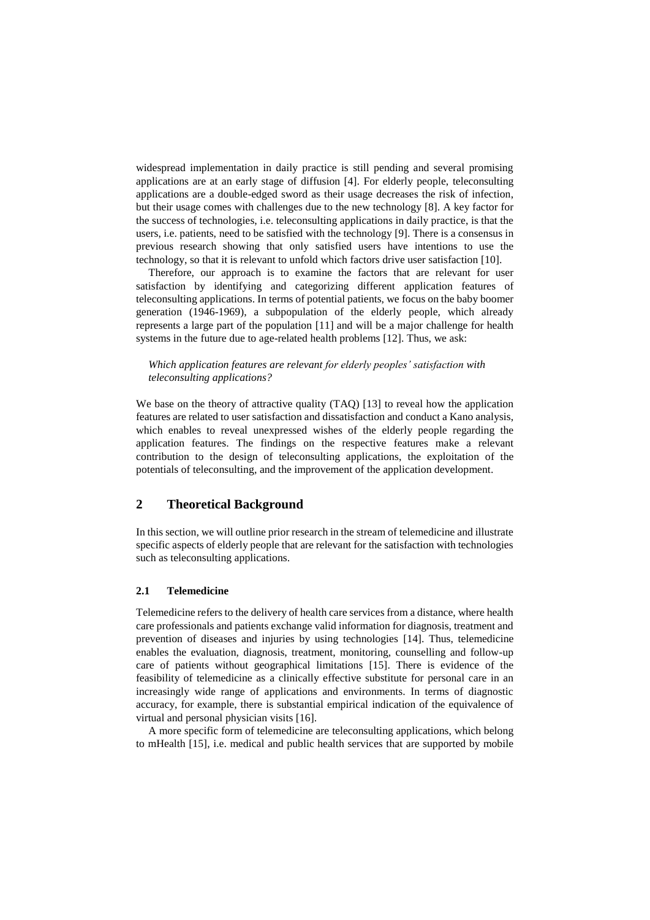widespread implementation in daily practice is still pending and several promising applications are at an early stage of diffusion [4]. For elderly people, teleconsulting applications are a double-edged sword as their usage decreases the risk of infection, but their usage comes with challenges due to the new technology [8]. A key factor for the success of technologies, i.e. teleconsulting applications in daily practice, is that the users, i.e. patients, need to be satisfied with the technology [9]. There is a consensus in previous research showing that only satisfied users have intentions to use the technology, so that it is relevant to unfold which factors drive user satisfaction [10].

Therefore, our approach is to examine the factors that are relevant for user satisfaction by identifying and categorizing different application features of teleconsulting applications. In terms of potential patients, we focus on the baby boomer generation (1946-1969), a subpopulation of the elderly people, which already represents a large part of the population [11] and will be a major challenge for health systems in the future due to age-related health problems [12]. Thus, we ask:

### *Which application features are relevant for elderly peoples' satisfaction with teleconsulting applications?*

We base on the theory of attractive quality (TAQ) [13] to reveal how the application features are related to user satisfaction and dissatisfaction and conduct a Kano analysis, which enables to reveal unexpressed wishes of the elderly people regarding the application features. The findings on the respective features make a relevant contribution to the design of teleconsulting applications, the exploitation of the potentials of teleconsulting, and the improvement of the application development.

# **2 Theoretical Background**

In this section, we will outline prior research in the stream of telemedicine and illustrate specific aspects of elderly people that are relevant for the satisfaction with technologies such as teleconsulting applications.

#### **2.1 Telemedicine**

Telemedicine refers to the delivery of health care services from a distance, where health care professionals and patients exchange valid information for diagnosis, treatment and prevention of diseases and injuries by using technologies [14]. Thus, telemedicine enables the evaluation, diagnosis, treatment, monitoring, counselling and follow-up care of patients without geographical limitations [15]. There is evidence of the feasibility of telemedicine as a clinically effective substitute for personal care in an increasingly wide range of applications and environments. In terms of diagnostic accuracy, for example, there is substantial empirical indication of the equivalence of virtual and personal physician visits [16].

A more specific form of telemedicine are teleconsulting applications, which belong to mHealth [15], i.e. medical and public health services that are supported by mobile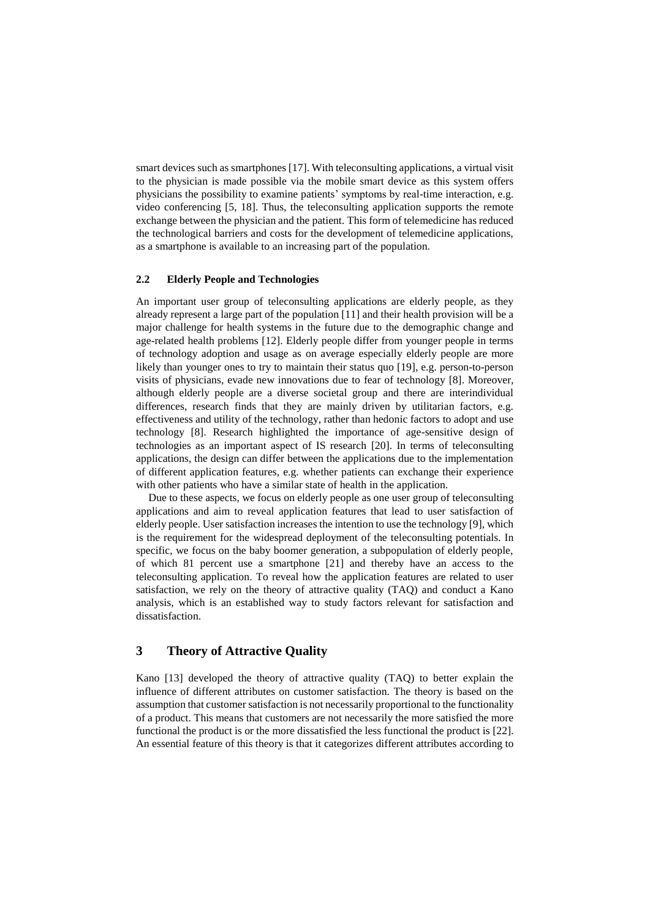smart devices such as smartphones [17]. With teleconsulting applications, a virtual visit to the physician is made possible via the mobile smart device as this system offers physicians the possibility to examine patients' symptoms by real-time interaction, e.g. video conferencing [5, 18]. Thus, the teleconsulting application supports the remote exchange between the physician and the patient. This form of telemedicine has reduced the technological barriers and costs for the development of telemedicine applications, as a smartphone is available to an increasing part of the population.

## **2.2 Elderly People and Technologies**

An important user group of teleconsulting applications are elderly people, as they already represent a large part of the population [11] and their health provision will be a major challenge for health systems in the future due to the demographic change and age-related health problems [12]. Elderly people differ from younger people in terms of technology adoption and usage as on average especially elderly people are more likely than younger ones to try to maintain their status quo [19], e.g. person-to-person visits of physicians, evade new innovations due to fear of technology [8]. Moreover, although elderly people are a diverse societal group and there are interindividual differences, research finds that they are mainly driven by utilitarian factors, e.g. effectiveness and utility of the technology, rather than hedonic factors to adopt and use technology [8]. Research highlighted the importance of age-sensitive design of technologies as an important aspect of IS research [20]. In terms of teleconsulting applications, the design can differ between the applications due to the implementation of different application features, e.g. whether patients can exchange their experience with other patients who have a similar state of health in the application.

Due to these aspects, we focus on elderly people as one user group of teleconsulting applications and aim to reveal application features that lead to user satisfaction of elderly people. User satisfaction increases the intention to use the technology [9], which is the requirement for the widespread deployment of the teleconsulting potentials. In specific, we focus on the baby boomer generation, a subpopulation of elderly people, of which 81 percent use a smartphone [21] and thereby have an access to the teleconsulting application. To reveal how the application features are related to user satisfaction, we rely on the theory of attractive quality (TAQ) and conduct a Kano analysis, which is an established way to study factors relevant for satisfaction and dissatisfaction.

# **3 Theory of Attractive Quality**

Kano [13] developed the theory of attractive quality (TAQ) to better explain the influence of different attributes on customer satisfaction. The theory is based on the assumption that customer satisfaction is not necessarily proportional to the functionality of a product. This means that customers are not necessarily the more satisfied the more functional the product is or the more dissatisfied the less functional the product is [22]. An essential feature of this theory is that it categorizes different attributes according to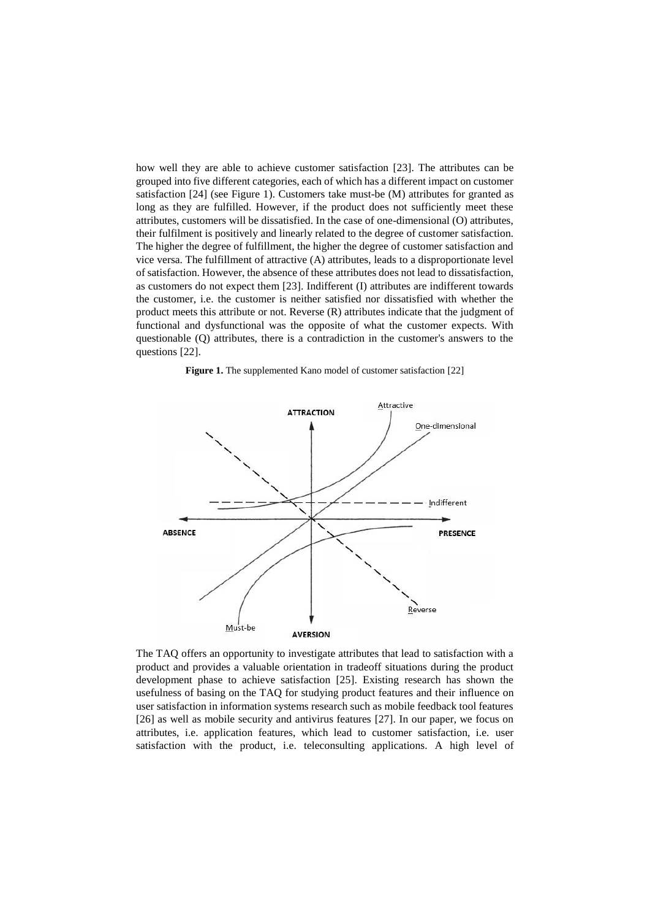how well they are able to achieve customer satisfaction [23]. The attributes can be grouped into five different categories, each of which has a different impact on customer satisfaction [24] (see Figure 1). Customers take must-be (M) attributes for granted as long as they are fulfilled. However, if the product does not sufficiently meet these attributes, customers will be dissatisfied. In the case of one-dimensional (O) attributes, their fulfilment is positively and linearly related to the degree of customer satisfaction. The higher the degree of fulfillment, the higher the degree of customer satisfaction and vice versa. The fulfillment of attractive (A) attributes, leads to a disproportionate level of satisfaction. However, the absence of these attributes does not lead to dissatisfaction, as customers do not expect them [23]. Indifferent (I) attributes are indifferent towards the customer, i.e. the customer is neither satisfied nor dissatisfied with whether the product meets this attribute or not. Reverse (R) attributes indicate that the judgment of functional and dysfunctional was the opposite of what the customer expects. With questionable (Q) attributes, there is a contradiction in the customer's answers to the questions [22].





The TAQ offers an opportunity to investigate attributes that lead to satisfaction with a product and provides a valuable orientation in tradeoff situations during the product development phase to achieve satisfaction [25]. Existing research has shown the usefulness of basing on the TAQ for studying product features and their influence on user satisfaction in information systems research such as mobile feedback tool features [26] as well as mobile security and antivirus features [27]. In our paper, we focus on attributes, i.e. application features, which lead to customer satisfaction, i.e. user satisfaction with the product, i.e. teleconsulting applications. A high level of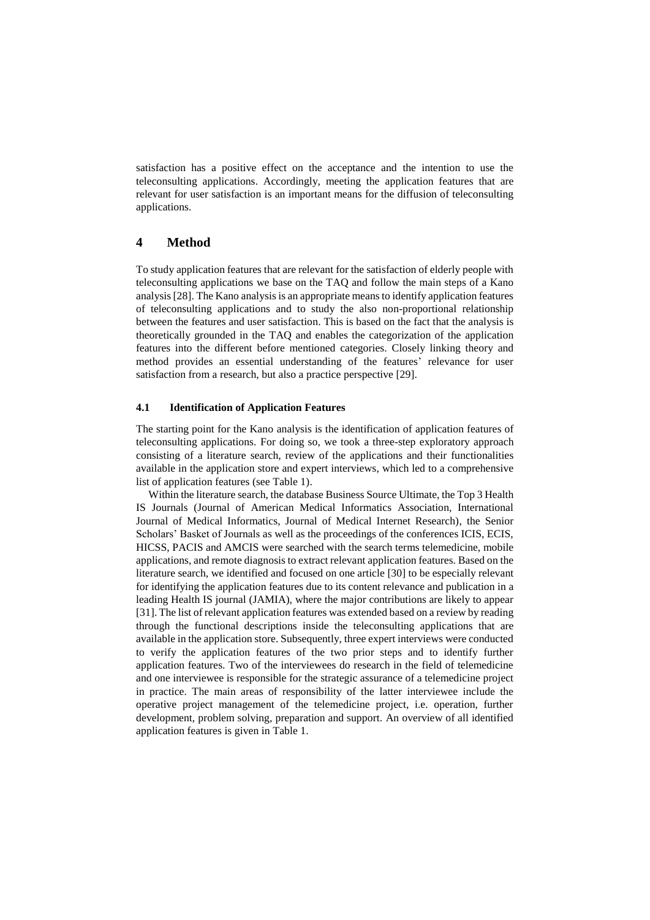satisfaction has a positive effect on the acceptance and the intention to use the teleconsulting applications. Accordingly, meeting the application features that are relevant for user satisfaction is an important means for the diffusion of teleconsulting applications.

# **4 Method**

To study application features that are relevant for the satisfaction of elderly people with teleconsulting applications we base on the TAQ and follow the main steps of a Kano analysis[28]. The Kano analysis is an appropriate means to identify application features of teleconsulting applications and to study the also non-proportional relationship between the features and user satisfaction. This is based on the fact that the analysis is theoretically grounded in the TAQ and enables the categorization of the application features into the different before mentioned categories. Closely linking theory and method provides an essential understanding of the features' relevance for user satisfaction from a research, but also a practice perspective [29].

#### **4.1 Identification of Application Features**

The starting point for the Kano analysis is the identification of application features of teleconsulting applications. For doing so, we took a three-step exploratory approach consisting of a literature search, review of the applications and their functionalities available in the application store and expert interviews, which led to a comprehensive list of application features (see Table 1).

Within the literature search, the database Business Source Ultimate, the Top 3 Health IS Journals (Journal of American Medical Informatics Association, International Journal of Medical Informatics, Journal of Medical Internet Research), the Senior Scholars' Basket of Journals as well as the proceedings of the conferences ICIS, ECIS, HICSS, PACIS and AMCIS were searched with the search terms telemedicine, mobile applications, and remote diagnosis to extract relevant application features. Based on the literature search, we identified and focused on one article [30] to be especially relevant for identifying the application features due to its content relevance and publication in a leading Health IS journal (JAMIA), where the major contributions are likely to appear [31]. The list of relevant application features was extended based on a review by reading through the functional descriptions inside the teleconsulting applications that are available in the application store. Subsequently, three expert interviews were conducted to verify the application features of the two prior steps and to identify further application features. Two of the interviewees do research in the field of telemedicine and one interviewee is responsible for the strategic assurance of a telemedicine project in practice. The main areas of responsibility of the latter interviewee include the operative project management of the telemedicine project, i.e. operation, further development, problem solving, preparation and support. An overview of all identified application features is given in Table 1.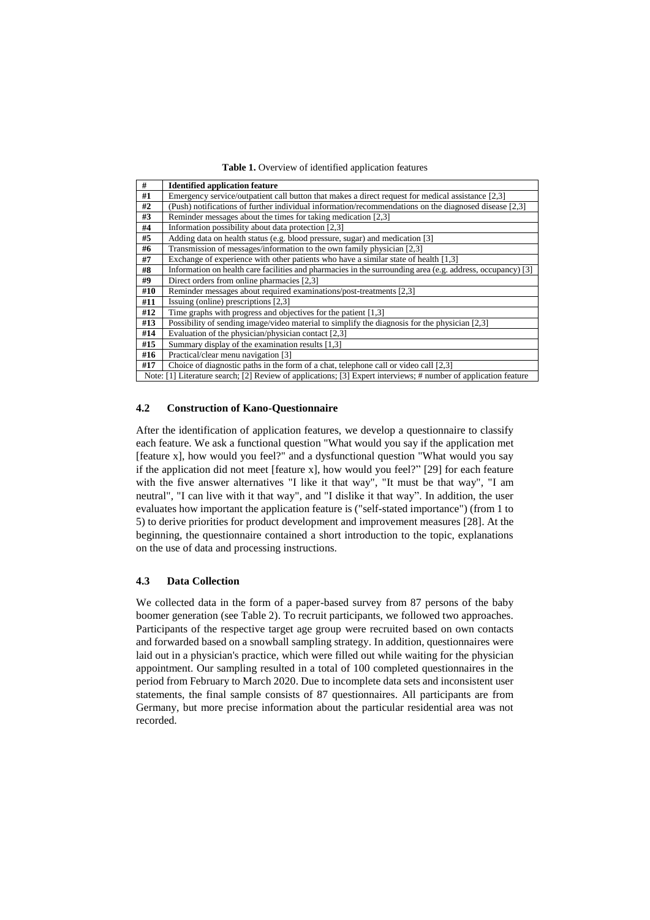**Table 1.** Overview of identified application features

| #   | <b>Identified application feature</b>                                                                           |
|-----|-----------------------------------------------------------------------------------------------------------------|
| #1  | Emergency service/outpatient call button that makes a direct request for medical assistance [2,3]               |
| #2  | (Push) notifications of further individual information/recommendations on the diagnosed disease [2,3]           |
| #3  | Reminder messages about the times for taking medication [2,3]                                                   |
| #4  | Information possibility about data protection [2,3]                                                             |
| #5  | Adding data on health status (e.g. blood pressure, sugar) and medication [3]                                    |
| #6  | Transmission of messages/information to the own family physician [2,3]                                          |
| #7  | Exchange of experience with other patients who have a similar state of health [1,3]                             |
| #8  | Information on health care facilities and pharmacies in the surrounding area (e.g. address, occupancy) [3]      |
| #9  | Direct orders from online pharmacies [2,3]                                                                      |
| #10 | Reminder messages about required examinations/post-treatments [2,3]                                             |
| #11 | Issuing (online) prescriptions [2,3]                                                                            |
| #12 | Time graphs with progress and objectives for the patient $[1,3]$                                                |
| #13 | Possibility of sending image/video material to simplify the diagnosis for the physician [2,3]                   |
| #14 | Evaluation of the physician/physician contact $[2,3]$                                                           |
| #15 | Summary display of the examination results [1,3]                                                                |
| #16 | Practical/clear menu navigation [3]                                                                             |
| #17 | Choice of diagnostic paths in the form of a chat, telephone call or video call [2,3]                            |
|     | Note: [1] Literature search; [2] Review of applications; [3] Expert interviews; # number of application feature |

#### **4.2 Construction of Kano-Questionnaire**

After the identification of application features, we develop a questionnaire to classify each feature. We ask a functional question "What would you say if the application met [feature x], how would you feel?" and a dysfunctional question "What would you say if the application did not meet [feature x], how would you feel?" [29] for each feature with the five answer alternatives "I like it that way", "It must be that way", "I am neutral", "I can live with it that way", and "I dislike it that way". In addition, the user evaluates how important the application feature is ("self-stated importance") (from 1 to 5) to derive priorities for product development and improvement measures [28]. At the beginning, the questionnaire contained a short introduction to the topic, explanations on the use of data and processing instructions.

## **4.3 Data Collection**

We collected data in the form of a paper-based survey from 87 persons of the baby boomer generation (see Table 2). To recruit participants, we followed two approaches. Participants of the respective target age group were recruited based on own contacts and forwarded based on a snowball sampling strategy. In addition, questionnaires were laid out in a physician's practice, which were filled out while waiting for the physician appointment. Our sampling resulted in a total of 100 completed questionnaires in the period from February to March 2020. Due to incomplete data sets and inconsistent user statements, the final sample consists of 87 questionnaires. All participants are from Germany, but more precise information about the particular residential area was not recorded.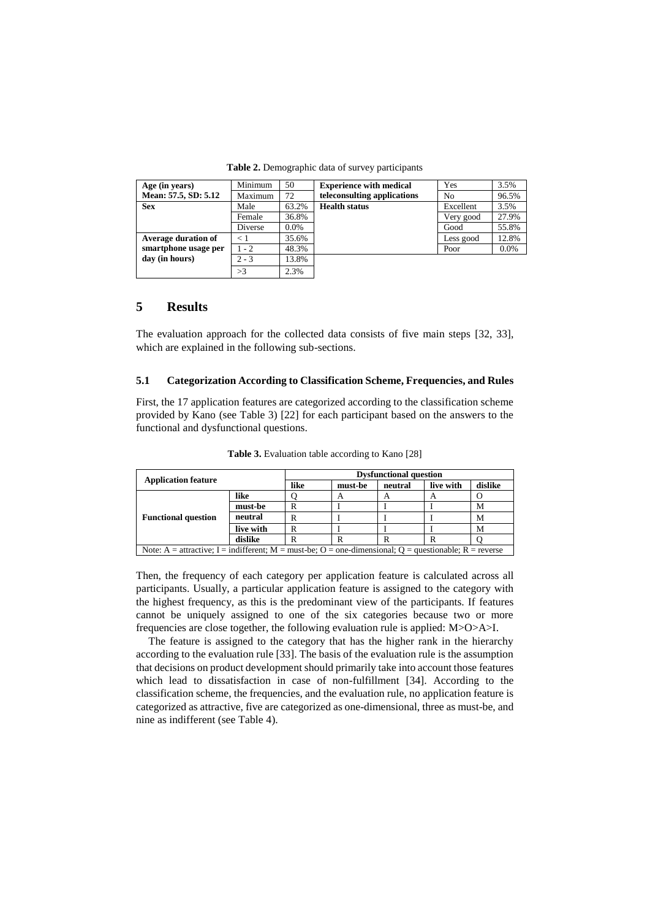| Age (in years)             | Minimum | 50    | <b>Experience with medical</b> | Yes       | 3.5%    |
|----------------------------|---------|-------|--------------------------------|-----------|---------|
| Mean: 57.5, SD: 5.12       | Maximum | 72    | teleconsulting applications    | No        | 96.5%   |
| <b>Sex</b>                 | Male    | 63.2% | <b>Health status</b>           | Excellent | 3.5%    |
|                            | Female  | 36.8% |                                | Very good | 27.9%   |
|                            | Diverse | 0.0%  |                                | Good      | 55.8%   |
| <b>Average duration of</b> | ← 1     | 35.6% |                                | Less good | 12.8%   |
| smartphone usage per       | $1 - 2$ | 48.3% |                                | Poor      | $0.0\%$ |
| day (in hours)             | $2 - 3$ | 13.8% |                                |           |         |
|                            | >3      | 2.3%  |                                |           |         |

**Table 2.** Demographic data of survey participants

# **5 Results**

The evaluation approach for the collected data consists of five main steps [32, 33], which are explained in the following sub-sections.

## **5.1 Categorization According to Classification Scheme, Frequencies, and Rules**

First, the 17 application features are categorized according to the classification scheme provided by Kano (see Table 3) [22] for each participant based on the answers to the functional and dysfunctional questions.

| <b>Application feature</b>                                                                             |           | <b>Dysfunctional question</b> |                |         |           |         |  |  |
|--------------------------------------------------------------------------------------------------------|-----------|-------------------------------|----------------|---------|-----------|---------|--|--|
|                                                                                                        |           | like                          | must-be        | neutral | live with | dislike |  |  |
|                                                                                                        | like      |                               | $\overline{A}$ | A       | A         |         |  |  |
|                                                                                                        | must-be   | R                             |                |         |           | М       |  |  |
| <b>Functional question</b>                                                                             | neutral   |                               |                |         |           | M       |  |  |
|                                                                                                        | live with | R                             |                |         |           | M       |  |  |
|                                                                                                        | dislike   |                               | R              |         | R         |         |  |  |
| Note: A = attractive; I = indifferent; M = must-be; O = one-dimensional; O = questionable; R = reverse |           |                               |                |         |           |         |  |  |

**Table 3.** Evaluation table according to Kano [28]

Then, the frequency of each category per application feature is calculated across all participants. Usually, a particular application feature is assigned to the category with the highest frequency, as this is the predominant view of the participants. If features cannot be uniquely assigned to one of the six categories because two or more frequencies are close together, the following evaluation rule is applied: M>O>A>I.

The feature is assigned to the category that has the higher rank in the hierarchy according to the evaluation rule [33]. The basis of the evaluation rule is the assumption that decisions on product development should primarily take into account those features which lead to dissatisfaction in case of non-fulfillment [34]. According to the classification scheme, the frequencies, and the evaluation rule, no application feature is categorized as attractive, five are categorized as one-dimensional, three as must-be, and nine as indifferent (see Table 4).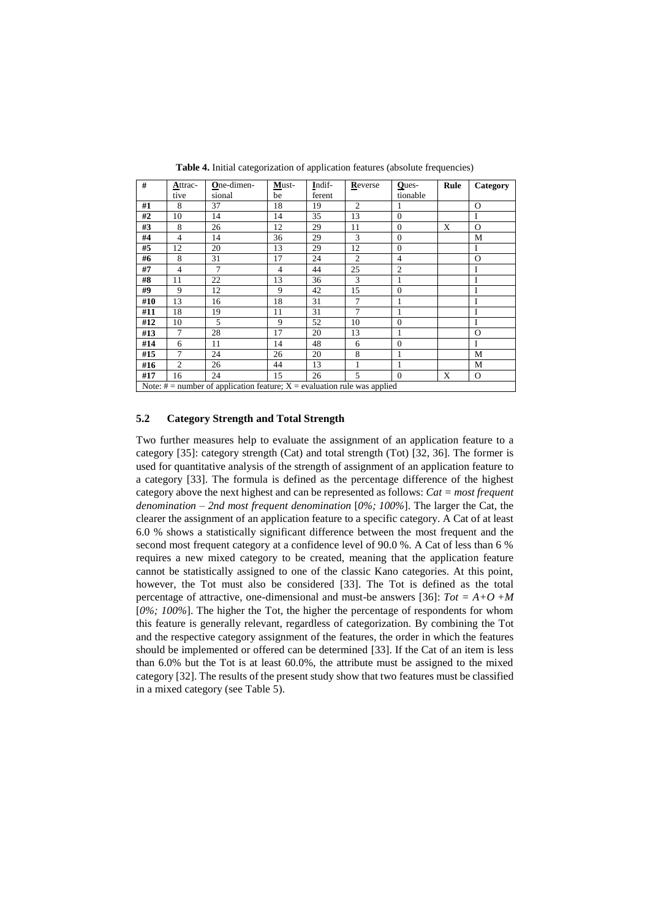| #                                                                            | Attrac-        | One-dimen- | Must-          | Indif- | Reverse        | Ques-          | Rule | Category |
|------------------------------------------------------------------------------|----------------|------------|----------------|--------|----------------|----------------|------|----------|
|                                                                              | tive           | sional     | be             | ferent |                | tionable       |      |          |
| #1                                                                           | 8              | 37         | 18             | 19     | $\overline{c}$ | 1              |      | $\Omega$ |
| #2                                                                           | 10             | 14         | 14             | 35     | 13             | $\theta$       |      | I        |
| #3                                                                           | 8              | 26         | 12             | 29     | 11             | $\overline{0}$ | X    | $\Omega$ |
| #4                                                                           | $\overline{4}$ | 14         | 36             | 29     | 3              | $\theta$       |      | М        |
| #5                                                                           | 12             | 20         | 13             | 29     | 12             | $\mathbf{0}$   |      | I        |
| #6                                                                           | 8              | 31         | 17             | 24     | $\overline{2}$ | $\overline{4}$ |      | $\Omega$ |
| #7                                                                           | $\overline{4}$ | 7          | $\overline{4}$ | 44     | 25             | $\overline{c}$ |      | I        |
| #8                                                                           | 11             | 22         | 13             | 36     | 3              | 1              |      | I        |
| #9                                                                           | 9              | 12         | 9              | 42     | 15             | $\mathbf{0}$   |      | I        |
| #10                                                                          | 13             | 16         | 18             | 31     | 7              | 1              |      | I        |
| #11                                                                          | 18             | 19         | 11             | 31     | $\tau$         | 1              |      | I        |
| #12                                                                          | 10             | 5          | 9              | 52     | 10             | $\theta$       |      | I        |
| #13                                                                          | 7              | 28         | 17             | 20     | 13             | 1              |      | $\Omega$ |
| #14                                                                          | 6              | 11         | 14             | 48     | 6              | $\theta$       |      | I        |
| #15                                                                          | 7              | 24         | 26             | 20     | 8              | 1              |      | M        |
| #16                                                                          | $\overline{2}$ | 26         | 44             | 13     | 1              | 1              |      | M        |
| #17                                                                          | 16             | 24         | 15             | 26     | 5              | $\theta$       | X    | $\Omega$ |
| Note: $#$ = number of application feature; $X$ = evaluation rule was applied |                |            |                |        |                |                |      |          |

**Table 4.** Initial categorization of application features (absolute frequencies)

#### **5.2 Category Strength and Total Strength**

Two further measures help to evaluate the assignment of an application feature to a category [35]: category strength (Cat) and total strength (Tot) [32, 36]. The former is used for quantitative analysis of the strength of assignment of an application feature to a category [33]. The formula is defined as the percentage difference of the highest category above the next highest and can be represented as follows: *Cat = most frequent denomination – 2nd most frequent denomination* [*0%; 100%*]. The larger the Cat, the clearer the assignment of an application feature to a specific category. A Cat of at least 6.0 % shows a statistically significant difference between the most frequent and the second most frequent category at a confidence level of 90.0 %. A Cat of less than 6 % requires a new mixed category to be created, meaning that the application feature cannot be statistically assigned to one of the classic Kano categories. At this point, however, the Tot must also be considered [33]. The Tot is defined as the total percentage of attractive, one-dimensional and must-be answers [36]:  $Tot = A + O + M$ [*0%; 100%*]. The higher the Tot, the higher the percentage of respondents for whom this feature is generally relevant, regardless of categorization. By combining the Tot and the respective category assignment of the features, the order in which the features should be implemented or offered can be determined [33]. If the Cat of an item is less than 6.0% but the Tot is at least 60.0%, the attribute must be assigned to the mixed category [32]. The results of the present study show that two features must be classified in a mixed category (see Table 5).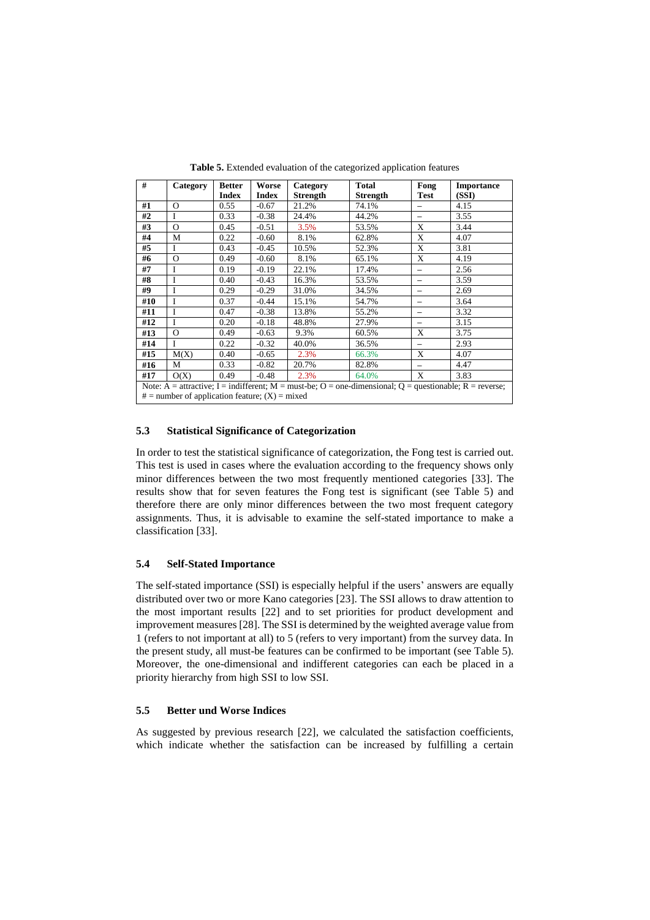| #                                                                                                       | Category | <b>Better</b> | Worse        | Category        | <b>Total</b>    | Fong                     | <b>Importance</b> |  |
|---------------------------------------------------------------------------------------------------------|----------|---------------|--------------|-----------------|-----------------|--------------------------|-------------------|--|
|                                                                                                         |          | <b>Index</b>  | <b>Index</b> | <b>Strength</b> | <b>Strength</b> | <b>Test</b>              | (SSI)             |  |
| #1                                                                                                      | $\Omega$ | 0.55          | $-0.67$      | 21.2%           | 74.1%           | $\overline{\phantom{0}}$ | 4.15              |  |
| #2                                                                                                      | Ī        | 0.33          | $-0.38$      | 24.4%           | 44.2%           |                          | 3.55              |  |
| #3                                                                                                      | $\Omega$ | 0.45          | $-0.51$      | 3.5%            | 53.5%           | X                        | 3.44              |  |
| #4                                                                                                      | М        | 0.22          | $-0.60$      | 8.1%            | 62.8%           | X                        | 4.07              |  |
| #5                                                                                                      | Ī        | 0.43          | $-0.45$      | 10.5%           | 52.3%           | X                        | 3.81              |  |
| #6                                                                                                      | $\Omega$ | 0.49          | $-0.60$      | 8.1%            | 65.1%           | X                        | 4.19              |  |
| #7                                                                                                      | I        | 0.19          | $-0.19$      | 22.1%           | 17.4%           | $\overline{\phantom{0}}$ | 2.56              |  |
| #8                                                                                                      | I        | 0.40          | $-0.43$      | 16.3%           | 53.5%           |                          | 3.59              |  |
| #9                                                                                                      | T        | 0.29          | $-0.29$      | 31.0%           | 34.5%           |                          | 2.69              |  |
| #10                                                                                                     | I        | 0.37          | $-0.44$      | 15.1%           | 54.7%           | -                        | 3.64              |  |
| #11                                                                                                     | I        | 0.47          | $-0.38$      | 13.8%           | 55.2%           | -                        | 3.32              |  |
| #12                                                                                                     | I        | 0.20          | $-0.18$      | 48.8%           | 27.9%           |                          | 3.15              |  |
| #13                                                                                                     | $\Omega$ | 0.49          | $-0.63$      | 9.3%            | 60.5%           | X                        | 3.75              |  |
| #14                                                                                                     | I        | 0.22          | $-0.32$      | 40.0%           | 36.5%           | $\overline{\phantom{0}}$ | 2.93              |  |
| #15                                                                                                     | M(X)     | 0.40          | $-0.65$      | 2.3%            | 66.3%           | X                        | 4.07              |  |
| #16                                                                                                     | M        | 0.33          | $-0.82$      | 20.7%           | 82.8%           | -                        | 4.47              |  |
| #17                                                                                                     | O(X)     | 0.49          | $-0.48$      | 2.3%            | 64.0%           | X                        | 3.83              |  |
| Note: A = attractive; I = indifferent; M = must-be; O = one-dimensional; Q = questionable; R = reverse; |          |               |              |                 |                 |                          |                   |  |
| $#$ = number of application feature; $(X)$ = mixed                                                      |          |               |              |                 |                 |                          |                   |  |

**Table 5.** Extended evaluation of the categorized application features

#### **5.3 Statistical Significance of Categorization**

In order to test the statistical significance of categorization, the Fong test is carried out. This test is used in cases where the evaluation according to the frequency shows only minor differences between the two most frequently mentioned categories [33]. The results show that for seven features the Fong test is significant (see Table 5) and therefore there are only minor differences between the two most frequent category assignments. Thus, it is advisable to examine the self-stated importance to make a classification [33].

#### **5.4 Self-Stated Importance**

The self-stated importance (SSI) is especially helpful if the users' answers are equally distributed over two or more Kano categories [23]. The SSI allows to draw attention to the most important results [22] and to set priorities for product development and improvement measures [28]. The SSI is determined by the weighted average value from 1 (refers to not important at all) to 5 (refers to very important) from the survey data. In the present study, all must-be features can be confirmed to be important (see Table 5). Moreover, the one-dimensional and indifferent categories can each be placed in a priority hierarchy from high SSI to low SSI.

#### **5.5 Better und Worse Indices**

As suggested by previous research [22], we calculated the satisfaction coefficients, which indicate whether the satisfaction can be increased by fulfilling a certain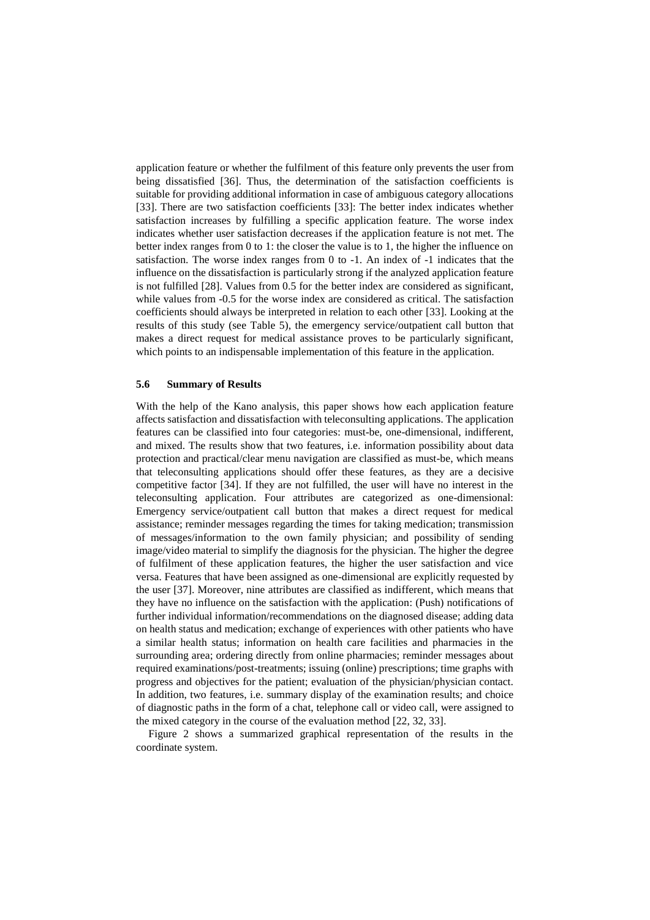application feature or whether the fulfilment of this feature only prevents the user from being dissatisfied [36]. Thus, the determination of the satisfaction coefficients is suitable for providing additional information in case of ambiguous category allocations [33]. There are two satisfaction coefficients [33]: The better index indicates whether satisfaction increases by fulfilling a specific application feature. The worse index indicates whether user satisfaction decreases if the application feature is not met. The better index ranges from 0 to 1: the closer the value is to 1, the higher the influence on satisfaction. The worse index ranges from 0 to -1. An index of -1 indicates that the influence on the dissatisfaction is particularly strong if the analyzed application feature is not fulfilled [28]. Values from 0.5 for the better index are considered as significant, while values from -0.5 for the worse index are considered as critical. The satisfaction coefficients should always be interpreted in relation to each other [33]. Looking at the results of this study (see Table 5), the emergency service/outpatient call button that makes a direct request for medical assistance proves to be particularly significant, which points to an indispensable implementation of this feature in the application.

#### **5.6 Summary of Results**

With the help of the Kano analysis, this paper shows how each application feature affects satisfaction and dissatisfaction with teleconsulting applications. The application features can be classified into four categories: must-be, one-dimensional, indifferent, and mixed. The results show that two features, i.e. information possibility about data protection and practical/clear menu navigation are classified as must-be, which means that teleconsulting applications should offer these features, as they are a decisive competitive factor [34]. If they are not fulfilled, the user will have no interest in the teleconsulting application. Four attributes are categorized as one-dimensional: Emergency service/outpatient call button that makes a direct request for medical assistance; reminder messages regarding the times for taking medication; transmission of messages/information to the own family physician; and possibility of sending image/video material to simplify the diagnosis for the physician. The higher the degree of fulfilment of these application features, the higher the user satisfaction and vice versa. Features that have been assigned as one-dimensional are explicitly requested by the user [37]. Moreover, nine attributes are classified as indifferent, which means that they have no influence on the satisfaction with the application: (Push) notifications of further individual information/recommendations on the diagnosed disease; adding data on health status and medication; exchange of experiences with other patients who have a similar health status; information on health care facilities and pharmacies in the surrounding area; ordering directly from online pharmacies; reminder messages about required examinations/post-treatments; issuing (online) prescriptions; time graphs with progress and objectives for the patient; evaluation of the physician/physician contact. In addition, two features, i.e. summary display of the examination results; and choice of diagnostic paths in the form of a chat, telephone call or video call, were assigned to the mixed category in the course of the evaluation method [22, 32, 33].

Figure 2 shows a summarized graphical representation of the results in the coordinate system.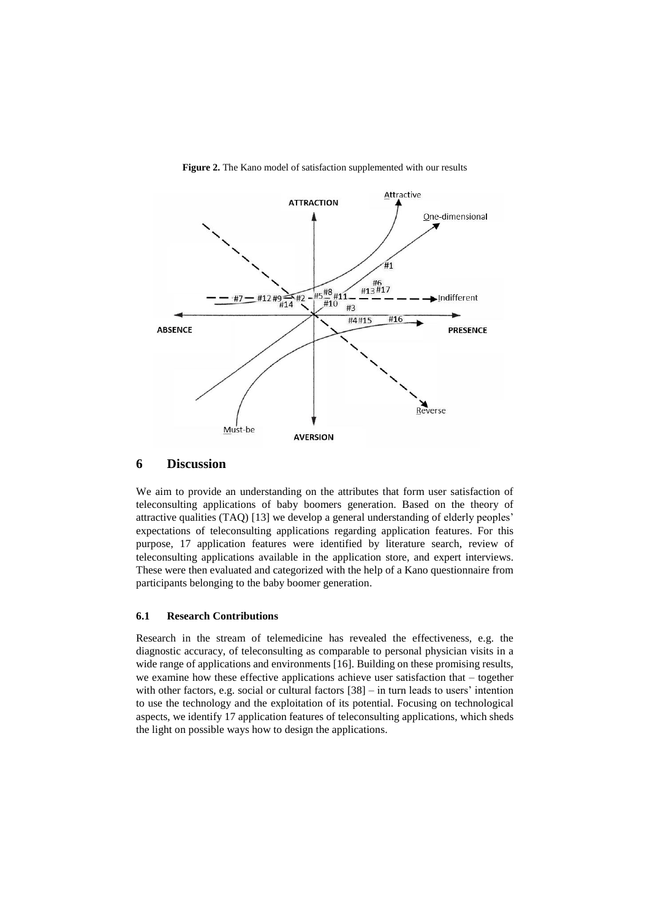

**Figure 2.** The Kano model of satisfaction supplemented with our results

# **6 Discussion**

We aim to provide an understanding on the attributes that form user satisfaction of teleconsulting applications of baby boomers generation. Based on the theory of attractive qualities (TAQ) [13] we develop a general understanding of elderly peoples' expectations of teleconsulting applications regarding application features. For this purpose, 17 application features were identified by literature search, review of teleconsulting applications available in the application store, and expert interviews. These were then evaluated and categorized with the help of a Kano questionnaire from participants belonging to the baby boomer generation.

#### **6.1 Research Contributions**

Research in the stream of telemedicine has revealed the effectiveness, e.g. the diagnostic accuracy, of teleconsulting as comparable to personal physician visits in a wide range of applications and environments [16]. Building on these promising results, we examine how these effective applications achieve user satisfaction that – together with other factors, e.g. social or cultural factors  $[38]$  – in turn leads to users' intention to use the technology and the exploitation of its potential. Focusing on technological aspects, we identify 17 application features of teleconsulting applications, which sheds the light on possible ways how to design the applications.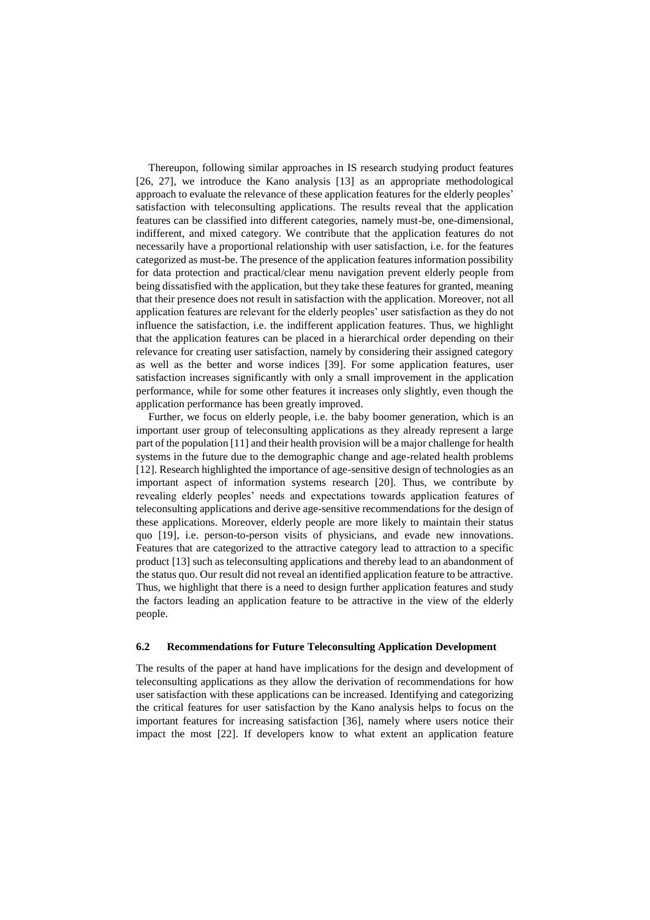Thereupon, following similar approaches in IS research studying product features [26, 27], we introduce the Kano analysis [13] as an appropriate methodological approach to evaluate the relevance of these application features for the elderly peoples' satisfaction with teleconsulting applications. The results reveal that the application features can be classified into different categories, namely must-be, one-dimensional, indifferent, and mixed category. We contribute that the application features do not necessarily have a proportional relationship with user satisfaction, i.e. for the features categorized as must-be. The presence of the application features information possibility for data protection and practical/clear menu navigation prevent elderly people from being dissatisfied with the application, but they take these features for granted, meaning that their presence does not result in satisfaction with the application. Moreover, not all application features are relevant for the elderly peoples' user satisfaction as they do not influence the satisfaction, i.e. the indifferent application features. Thus, we highlight that the application features can be placed in a hierarchical order depending on their relevance for creating user satisfaction, namely by considering their assigned category as well as the better and worse indices [39]. For some application features, user satisfaction increases significantly with only a small improvement in the application performance, while for some other features it increases only slightly, even though the application performance has been greatly improved.

Further, we focus on elderly people, i.e. the baby boomer generation, which is an important user group of teleconsulting applications as they already represent a large part of the population [11] and their health provision will be a major challenge for health systems in the future due to the demographic change and age-related health problems [12]. Research highlighted the importance of age-sensitive design of technologies as an important aspect of information systems research [20]. Thus, we contribute by revealing elderly peoples' needs and expectations towards application features of teleconsulting applications and derive age-sensitive recommendations for the design of these applications. Moreover, elderly people are more likely to maintain their status quo [19], i.e. person-to-person visits of physicians, and evade new innovations. Features that are categorized to the attractive category lead to attraction to a specific product [13] such as teleconsulting applications and thereby lead to an abandonment of the status quo. Our result did not reveal an identified application feature to be attractive. Thus, we highlight that there is a need to design further application features and study the factors leading an application feature to be attractive in the view of the elderly people.

#### **6.2 Recommendations for Future Teleconsulting Application Development**

The results of the paper at hand have implications for the design and development of teleconsulting applications as they allow the derivation of recommendations for how user satisfaction with these applications can be increased. Identifying and categorizing the critical features for user satisfaction by the Kano analysis helps to focus on the important features for increasing satisfaction [36], namely where users notice their impact the most [22]. If developers know to what extent an application feature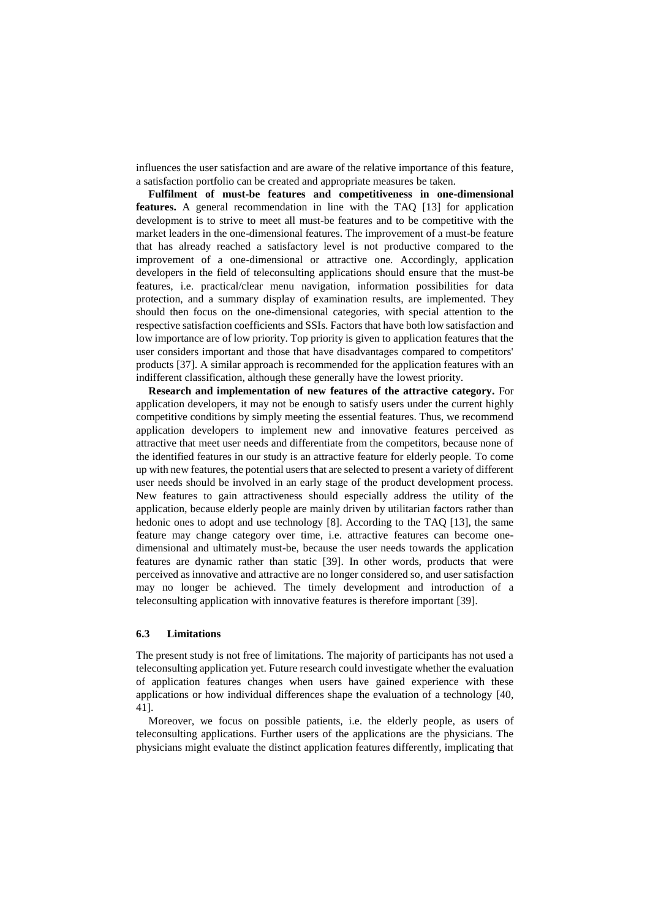influences the user satisfaction and are aware of the relative importance of this feature, a satisfaction portfolio can be created and appropriate measures be taken.

**Fulfilment of must-be features and competitiveness in one-dimensional features.** A general recommendation in line with the TAQ [13] for application development is to strive to meet all must-be features and to be competitive with the market leaders in the one-dimensional features. The improvement of a must-be feature that has already reached a satisfactory level is not productive compared to the improvement of a one-dimensional or attractive one. Accordingly, application developers in the field of teleconsulting applications should ensure that the must-be features, i.e. practical/clear menu navigation, information possibilities for data protection, and a summary display of examination results, are implemented. They should then focus on the one-dimensional categories, with special attention to the respective satisfaction coefficients and SSIs. Factors that have both low satisfaction and low importance are of low priority. Top priority is given to application features that the user considers important and those that have disadvantages compared to competitors' products [37]. A similar approach is recommended for the application features with an indifferent classification, although these generally have the lowest priority.

**Research and implementation of new features of the attractive category.** For application developers, it may not be enough to satisfy users under the current highly competitive conditions by simply meeting the essential features. Thus, we recommend application developers to implement new and innovative features perceived as attractive that meet user needs and differentiate from the competitors, because none of the identified features in our study is an attractive feature for elderly people. To come up with new features, the potential users that are selected to present a variety of different user needs should be involved in an early stage of the product development process. New features to gain attractiveness should especially address the utility of the application, because elderly people are mainly driven by utilitarian factors rather than hedonic ones to adopt and use technology [8]. According to the TAQ [13], the same feature may change category over time, i.e. attractive features can become onedimensional and ultimately must-be, because the user needs towards the application features are dynamic rather than static [39]. In other words, products that were perceived as innovative and attractive are no longer considered so, and user satisfaction may no longer be achieved. The timely development and introduction of a teleconsulting application with innovative features is therefore important [39].

#### **6.3 Limitations**

The present study is not free of limitations. The majority of participants has not used a teleconsulting application yet. Future research could investigate whether the evaluation of application features changes when users have gained experience with these applications or how individual differences shape the evaluation of a technology [40, 41].

Moreover, we focus on possible patients, i.e. the elderly people, as users of teleconsulting applications. Further users of the applications are the physicians. The physicians might evaluate the distinct application features differently, implicating that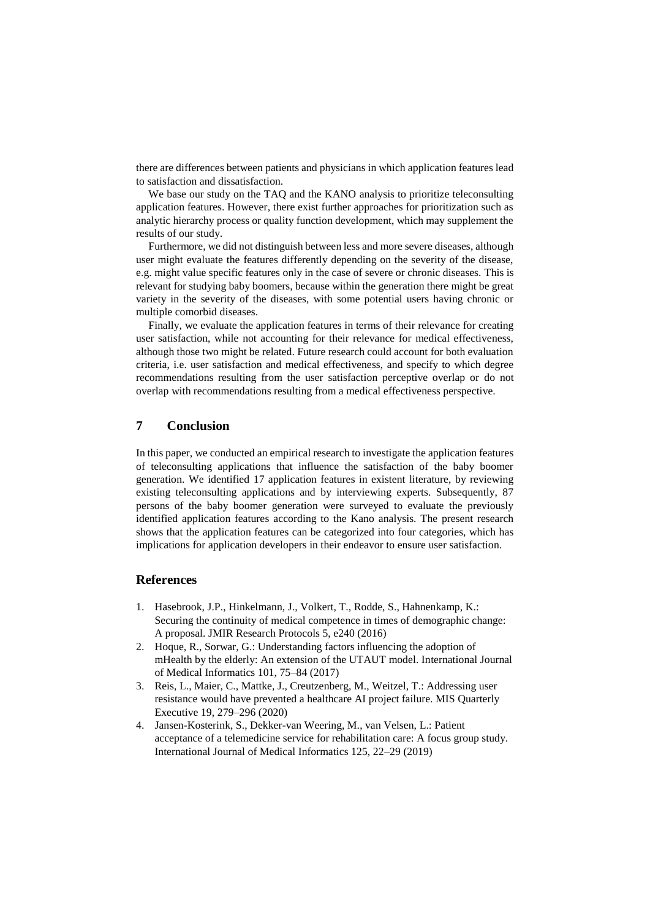there are differences between patients and physicians in which application features lead to satisfaction and dissatisfaction.

We base our study on the TAQ and the KANO analysis to prioritize teleconsulting application features. However, there exist further approaches for prioritization such as analytic hierarchy process or quality function development, which may supplement the results of our study.

Furthermore, we did not distinguish between less and more severe diseases, although user might evaluate the features differently depending on the severity of the disease, e.g. might value specific features only in the case of severe or chronic diseases. This is relevant for studying baby boomers, because within the generation there might be great variety in the severity of the diseases, with some potential users having chronic or multiple comorbid diseases.

Finally, we evaluate the application features in terms of their relevance for creating user satisfaction, while not accounting for their relevance for medical effectiveness, although those two might be related. Future research could account for both evaluation criteria, i.e. user satisfaction and medical effectiveness, and specify to which degree recommendations resulting from the user satisfaction perceptive overlap or do not overlap with recommendations resulting from a medical effectiveness perspective.

# **7 Conclusion**

In this paper, we conducted an empirical research to investigate the application features of teleconsulting applications that influence the satisfaction of the baby boomer generation. We identified 17 application features in existent literature, by reviewing existing teleconsulting applications and by interviewing experts. Subsequently, 87 persons of the baby boomer generation were surveyed to evaluate the previously identified application features according to the Kano analysis. The present research shows that the application features can be categorized into four categories, which has implications for application developers in their endeavor to ensure user satisfaction.

# **References**

- 1. Hasebrook, J.P., Hinkelmann, J., Volkert, T., Rodde, S., Hahnenkamp, K.: Securing the continuity of medical competence in times of demographic change: A proposal. JMIR Research Protocols 5, e240 (2016)
- 2. Hoque, R., Sorwar, G.: Understanding factors influencing the adoption of mHealth by the elderly: An extension of the UTAUT model. International Journal of Medical Informatics 101, 75–84 (2017)
- 3. Reis, L., Maier, C., Mattke, J., Creutzenberg, M., Weitzel, T.: Addressing user resistance would have prevented a healthcare AI project failure. MIS Quarterly Executive 19, 279–296 (2020)
- 4. Jansen-Kosterink, S., Dekker-van Weering, M., van Velsen, L.: Patient acceptance of a telemedicine service for rehabilitation care: A focus group study. International Journal of Medical Informatics 125, 22–29 (2019)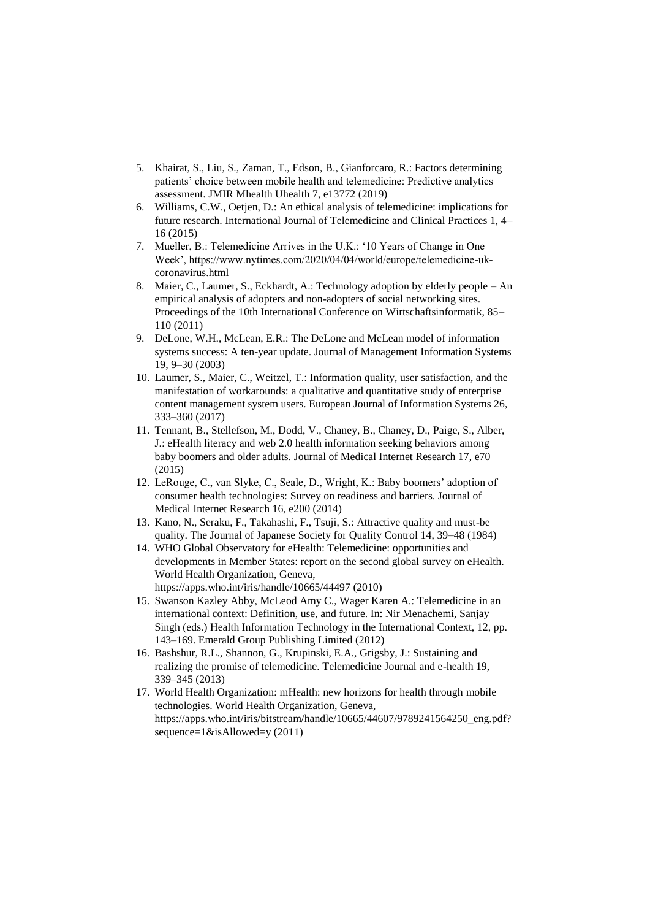- 5. Khairat, S., Liu, S., Zaman, T., Edson, B., Gianforcaro, R.: Factors determining patients' choice between mobile health and telemedicine: Predictive analytics assessment. JMIR Mhealth Uhealth 7, e13772 (2019)
- 6. Williams, C.W., Oetjen, D.: An ethical analysis of telemedicine: implications for future research. International Journal of Telemedicine and Clinical Practices 1, 4– 16 (2015)
- 7. Mueller, B.: Telemedicine Arrives in the U.K.: '10 Years of Change in One Week', https://www.nytimes.com/2020/04/04/world/europe/telemedicine-ukcoronavirus.html
- 8. Maier, C., Laumer, S., Eckhardt, A.: Technology adoption by elderly people An empirical analysis of adopters and non-adopters of social networking sites. Proceedings of the 10th International Conference on Wirtschaftsinformatik, 85– 110 (2011)
- 9. DeLone, W.H., McLean, E.R.: The DeLone and McLean model of information systems success: A ten-year update. Journal of Management Information Systems 19, 9–30 (2003)
- 10. Laumer, S., Maier, C., Weitzel, T.: Information quality, user satisfaction, and the manifestation of workarounds: a qualitative and quantitative study of enterprise content management system users. European Journal of Information Systems 26, 333–360 (2017)
- 11. Tennant, B., Stellefson, M., Dodd, V., Chaney, B., Chaney, D., Paige, S., Alber, J.: eHealth literacy and web 2.0 health information seeking behaviors among baby boomers and older adults. Journal of Medical Internet Research 17, e70 (2015)
- 12. LeRouge, C., van Slyke, C., Seale, D., Wright, K.: Baby boomers' adoption of consumer health technologies: Survey on readiness and barriers. Journal of Medical Internet Research 16, e200 (2014)
- 13. Kano, N., Seraku, F., Takahashi, F., Tsuji, S.: Attractive quality and must-be quality. The Journal of Japanese Society for Quality Control 14, 39–48 (1984)
- 14. WHO Global Observatory for eHealth: Telemedicine: opportunities and developments in Member States: report on the second global survey on eHealth. World Health Organization, Geneva, https://apps.who.int/iris/handle/10665/44497 (2010)
- 15. Swanson Kazley Abby, McLeod Amy C., Wager Karen A.: Telemedicine in an international context: Definition, use, and future. In: Nir Menachemi, Sanjay Singh (eds.) Health Information Technology in the International Context, 12, pp. 143–169. Emerald Group Publishing Limited (2012)
- 16. Bashshur, R.L., Shannon, G., Krupinski, E.A., Grigsby, J.: Sustaining and realizing the promise of telemedicine. Telemedicine Journal and e-health 19, 339–345 (2013)
- 17. World Health Organization: mHealth: new horizons for health through mobile technologies. World Health Organization, Geneva, https://apps.who.int/iris/bitstream/handle/10665/44607/9789241564250\_eng.pdf? sequence=1&isAllowed=y (2011)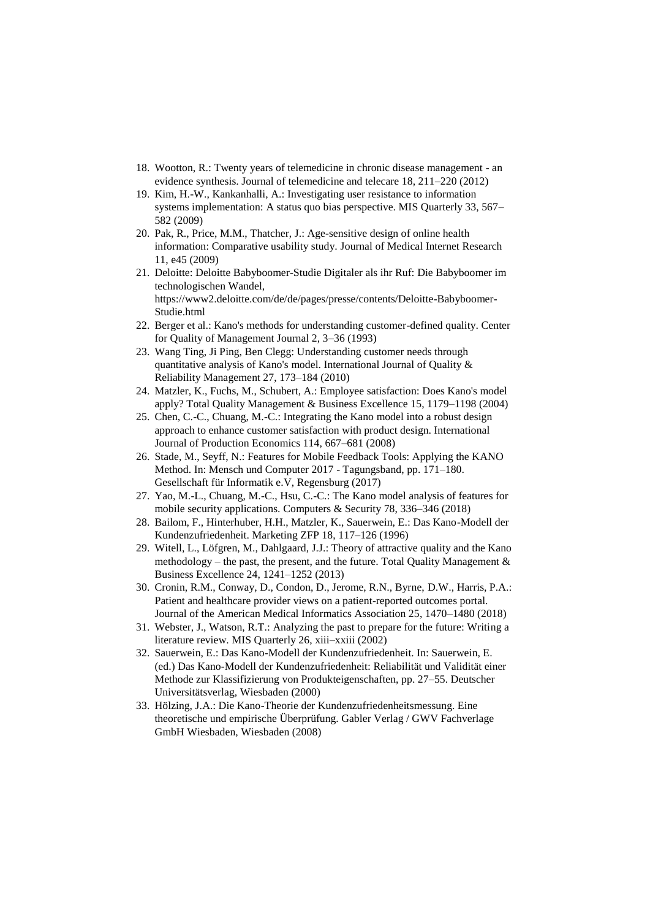- 18. Wootton, R.: Twenty years of telemedicine in chronic disease management an evidence synthesis. Journal of telemedicine and telecare 18, 211–220 (2012)
- 19. Kim, H.-W., Kankanhalli, A.: Investigating user resistance to information systems implementation: A status quo bias perspective. MIS Quarterly 33, 567– 582 (2009)
- 20. Pak, R., Price, M.M., Thatcher, J.: Age-sensitive design of online health information: Comparative usability study. Journal of Medical Internet Research 11, e45 (2009)
- 21. Deloitte: Deloitte Babyboomer-Studie Digitaler als ihr Ruf: Die Babyboomer im technologischen Wandel, https://www2.deloitte.com/de/de/pages/presse/contents/Deloitte-Babyboomer-Studie.html
- 22. Berger et al.: Kano's methods for understanding customer-defined quality. Center for Quality of Management Journal 2, 3–36 (1993)
- 23. Wang Ting, Ji Ping, Ben Clegg: Understanding customer needs through quantitative analysis of Kano's model. International Journal of Quality & Reliability Management 27, 173–184 (2010)
- 24. Matzler, K., Fuchs, M., Schubert, A.: Employee satisfaction: Does Kano's model apply? Total Quality Management & Business Excellence 15, 1179–1198 (2004)
- 25. Chen, C.-C., Chuang, M.-C.: Integrating the Kano model into a robust design approach to enhance customer satisfaction with product design. International Journal of Production Economics 114, 667–681 (2008)
- 26. Stade, M., Seyff, N.: Features for Mobile Feedback Tools: Applying the KANO Method. In: Mensch und Computer 2017 - Tagungsband, pp. 171–180. Gesellschaft für Informatik e.V, Regensburg (2017)
- 27. Yao, M.-L., Chuang, M.-C., Hsu, C.-C.: The Kano model analysis of features for mobile security applications. Computers & Security 78, 336–346 (2018)
- 28. Bailom, F., Hinterhuber, H.H., Matzler, K., Sauerwein, E.: Das Kano-Modell der Kundenzufriedenheit. Marketing ZFP 18, 117–126 (1996)
- 29. Witell, L., Löfgren, M., Dahlgaard, J.J.: Theory of attractive quality and the Kano methodology – the past, the present, and the future. Total Quality Management  $\&$ Business Excellence 24, 1241–1252 (2013)
- 30. Cronin, R.M., Conway, D., Condon, D., Jerome, R.N., Byrne, D.W., Harris, P.A.: Patient and healthcare provider views on a patient-reported outcomes portal. Journal of the American Medical Informatics Association 25, 1470–1480 (2018)
- 31. Webster, J., Watson, R.T.: Analyzing the past to prepare for the future: Writing a literature review. MIS Quarterly 26, xiii–xxiii (2002)
- 32. Sauerwein, E.: Das Kano-Modell der Kundenzufriedenheit. In: Sauerwein, E. (ed.) Das Kano-Modell der Kundenzufriedenheit: Reliabilität und Validität einer Methode zur Klassifizierung von Produkteigenschaften, pp. 27–55. Deutscher Universitätsverlag, Wiesbaden (2000)
- 33. Hölzing, J.A.: Die Kano-Theorie der Kundenzufriedenheitsmessung. Eine theoretische und empirische Überprüfung. Gabler Verlag / GWV Fachverlage GmbH Wiesbaden, Wiesbaden (2008)